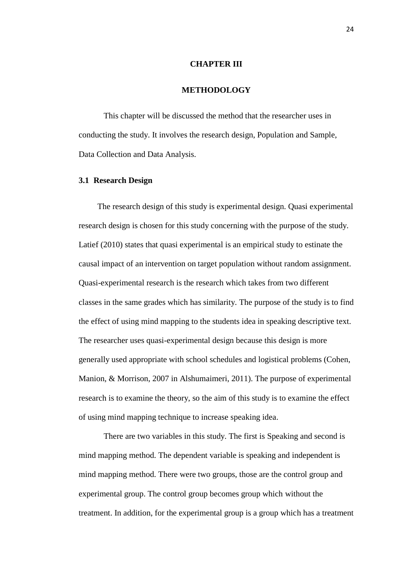#### **CHAPTER III**

# **METHODOLOGY**

This chapter will be discussed the method that the researcher uses in conducting the study. It involves the research design, Population and Sample, Data Collection and Data Analysis.

### **3.1 Research Design**

The research design of this study is experimental design. Quasi experimental research design is chosen for this study concerning with the purpose of the study. Latief (2010) states that quasi experimental is an empirical study to estinate the causal impact of an intervention on target population without random assignment. Quasi-experimental research is the research which takes from two different classes in the same grades which has similarity. The purpose of the study is to find the effect of using mind mapping to the students idea in speaking descriptive text. The researcher uses quasi-experimental design because this design is more generally used appropriate with school schedules and logistical problems (Cohen, Manion, & Morrison, 2007 in Alshumaimeri, 2011). The purpose of experimental research is to examine the theory, so the aim of this study is to examine the effect of using mind mapping technique to increase speaking idea.

There are two variables in this study. The first is Speaking and second is mind mapping method. The dependent variable is speaking and independent is mind mapping method. There were two groups, those are the control group and experimental group. The control group becomes group which without the treatment. In addition, for the experimental group is a group which has a treatment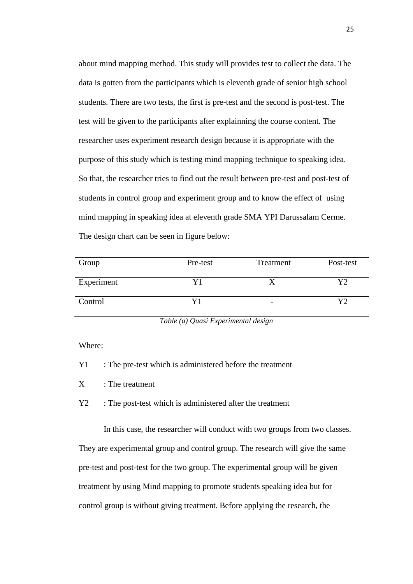about mind mapping method. This study will provides test to collect the data. The data is gotten from the participants which is eleventh grade of senior high school students. There are two tests, the first is pre-test and the second is post-test. The test will be given to the participants after explainning the course content. The researcher uses experiment research design because it is appropriate with the purpose of this study which is testing mind mapping technique to speaking idea. So that, the researcher tries to find out the result between pre-test and post-test of students in control group and experiment group and to know the effect of using mind mapping in speaking idea at eleventh grade SMA YPI Darussalam Cerme. The design chart can be seen in figure below:

| Group      | Pre-test | Treatment | Post-test |
|------------|----------|-----------|-----------|
| Experiment |          |           | v٥        |
| Control    |          | -         | V٦        |

*Table (a) Quasi Experimental design*

Where:

Y1 : The pre-test which is administered before the treatment

X : The treatment

Y2 : The post-test which is administered after the treatment

In this case, the researcher will conduct with two groups from two classes. They are experimental group and control group. The research will give the same pre-test and post-test for the two group. The experimental group will be given treatment by using Mind mapping to promote students speaking idea but for control group is without giving treatment. Before applying the research, the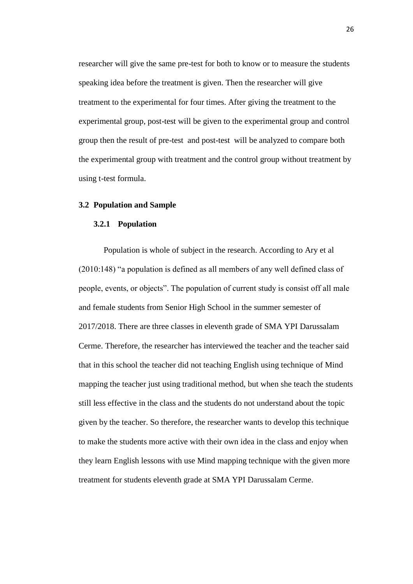researcher will give the same pre-test for both to know or to measure the students speaking idea before the treatment is given. Then the researcher will give treatment to the experimental for four times. After giving the treatment to the experimental group, post-test will be given to the experimental group and control group then the result of pre-test and post-test will be analyzed to compare both the experimental group with treatment and the control group without treatment by using t-test formula.

#### **3.2 Population and Sample**

#### **3.2.1 Population**

Population is whole of subject in the research. According to Ary et al (2010:148) "a population is defined as all members of any well defined class of people, events, or objects". The population of current study is consist off all male and female students from Senior High School in the summer semester of 2017/2018. There are three classes in eleventh grade of SMA YPI Darussalam Cerme. Therefore, the researcher has interviewed the teacher and the teacher said that in this school the teacher did not teaching English using technique of Mind mapping the teacher just using traditional method, but when she teach the students still less effective in the class and the students do not understand about the topic given by the teacher. So therefore, the researcher wants to develop this technique to make the students more active with their own idea in the class and enjoy when they learn English lessons with use Mind mapping technique with the given more treatment for students eleventh grade at SMA YPI Darussalam Cerme.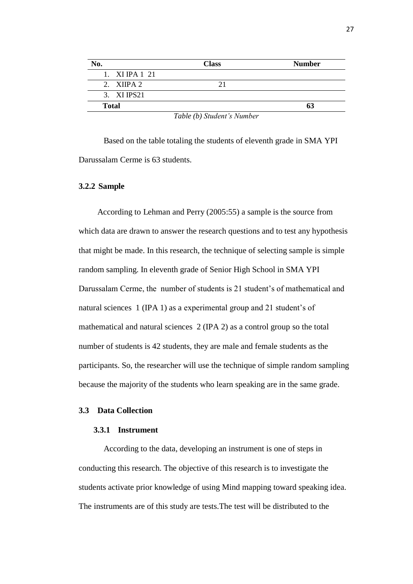| No.               | <b>Class</b> | <b>Number</b> |
|-------------------|--------------|---------------|
| $1.$ XIIPA $1.21$ |              |               |
| 2. XIIPA $2$      |              |               |
| 3. XI IPS21       |              |               |
| <b>Total</b>      |              |               |
|                   |              |               |

*Table (b) Student's Number*

Based on the table totaling the students of eleventh grade in SMA YPI Darussalam Cerme is 63 students.

# **3.2.2 Sample**

According to Lehman and Perry (2005:55) a sample is the source from which data are drawn to answer the research questions and to test any hypothesis that might be made. In this research, the technique of selecting sample is simple random sampling. In eleventh grade of Senior High School in SMA YPI Darussalam Cerme, the number of students is 21 student's of mathematical and natural sciences 1 (IPA 1) as a experimental group and 21 student's of mathematical and natural sciences 2 (IPA 2) as a control group so the total number of students is 42 students, they are male and female students as the participants. So, the researcher will use the technique of simple random sampling because the majority of the students who learn speaking are in the same grade.

## **3.3 Data Collection**

#### **3.3.1 Instrument**

According to the data, developing an instrument is one of steps in conducting this research. The objective of this research is to investigate the students activate prior knowledge of using Mind mapping toward speaking idea. The instruments are of this study are tests.The test will be distributed to the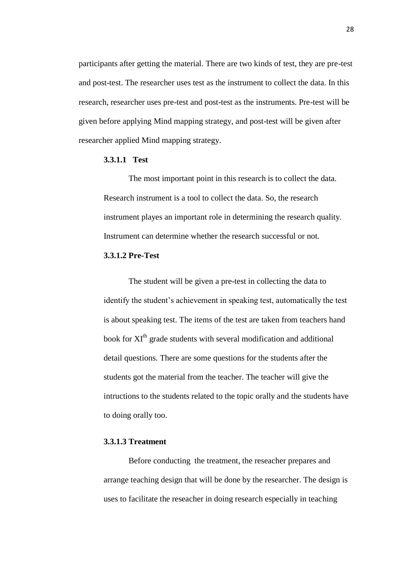participants after getting the material. There are two kinds of test, they are pre-test and post-test. The researcher uses test as the instrument to collect the data. In this research, researcher uses pre-test and post-test as the instruments. Pre-test will be given before applying Mind mapping strategy, and post-test will be given after researcher applied Mind mapping strategy.

# **3.3.1.1 Test**

The most important point in this research is to collect the data. Research instrument is a tool to collect the data. So, the research instrument playes an important role in determining the research quality. Instrument can determine whether the research successful or not.

## **3.3.1.2 Pre-Test**

The student will be given a pre-test in collecting the data to identify the student's achievement in speaking test, automatically the test is about speaking test. The items of the test are taken from teachers hand book for XI<sup>th</sup> grade students with several modification and additional detail questions. There are some questions for the students after the students got the material from the teacher. The teacher will give the intructions to the students related to the topic orally and the students have to doing orally too.

## **3.3.1.3 Treatment**

Before conducting the treatment, the reseacher prepares and arrange teaching design that will be done by the researcher. The design is uses to facilitate the reseacher in doing research especially in teaching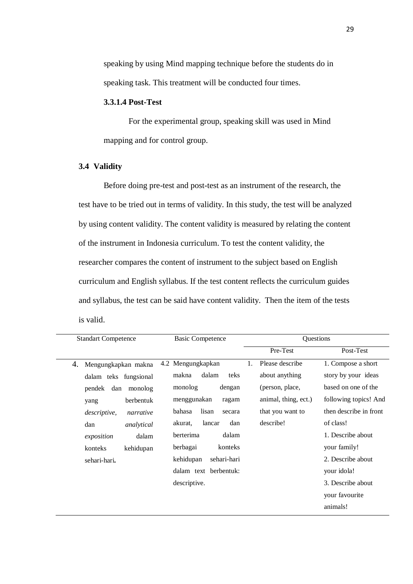speaking by using Mind mapping technique before the students do in speaking task. This treatment will be conducted four times.

# **3.3.1.4 Post-Test**

For the experimental group, speaking skill was used in Mind mapping and for control group.

# **3.4 Validity**

Before doing pre-test and post-test as an instrument of the research, the test have to be tried out in terms of validity. In this study, the test will be analyzed by using content validity. The content validity is measured by relating the content of the instrument in Indonesia curriculum. To test the content validity, the researcher compares the content of instrument to the subject based on English curriculum and English syllabus. If the test content reflects the curriculum guides and syllabus, the test can be said have content validity. Then the item of the tests is valid.

| <b>Standart Competence</b> | <b>Basic Competence</b>   | Questions                      |                        |
|----------------------------|---------------------------|--------------------------------|------------------------|
|                            |                           | Pre-Test                       | Post-Test              |
| 4.<br>Mengungkapkan makna  | 4.2 Mengungkapkan         | Please describe<br>$1_{\cdot}$ | 1. Compose a short     |
| dalam teks fungsional      | dalam<br>makna<br>teks    | about anything                 | story by your ideas    |
| pendek dan<br>monolog      | monolog<br>dengan         | (person, place,                | based on one of the    |
| berbentuk<br>yang          | menggunakan<br>ragam      | animal, thing, ect.)           | following topics! And  |
| descriptive,<br>narrative  | lisan<br>bahasa<br>secara | that you want to               | then describe in front |
| dan<br>analytical          | dan<br>lancar<br>akurat.  | describe!                      | of class!              |
| dalam<br>exposition        | dalam<br>berterima        |                                | 1. Describe about      |
| konteks<br>kehidupan       | berbagai<br>konteks       |                                | your family!           |
| sehari-hari.               | kehidupan<br>sehari-hari  |                                | 2. Describe about      |
|                            | dalam text berbentuk:     |                                | your idola!            |
|                            | descriptive.              |                                | 3. Describe about      |
|                            |                           |                                | your favourite         |
|                            |                           |                                | animals!               |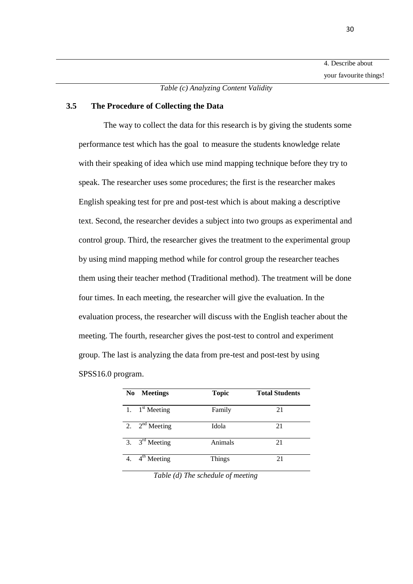*Table (c) Analyzing Content Validity*

## **3.5 The Procedure of Collecting the Data**

The way to collect the data for this research is by giving the students some performance test which has the goal to measure the students knowledge relate with their speaking of idea which use mind mapping technique before they try to speak. The researcher uses some procedures; the first is the researcher makes English speaking test for pre and post-test which is about making a descriptive text. Second, the researcher devides a subject into two groups as experimental and control group. Third, the researcher gives the treatment to the experimental group by using mind mapping method while for control group the researcher teaches them using their teacher method (Traditional method). The treatment will be done four times. In each meeting, the researcher will give the evaluation. In the evaluation process, the researcher will discuss with the English teacher about the meeting. The fourth, researcher gives the post-test to control and experiment group. The last is analyzing the data from pre-test and post-test by using SPSS16.0 program.

| <b>Meetings</b><br>No      | <b>Topic</b>  | <b>Total Students</b> |
|----------------------------|---------------|-----------------------|
| 1. $1^{\text{st}}$ Meeting | Family        | 21                    |
| 2. $2nd$ Meeting           | Idola         | 21                    |
| 3. $3^{\text{rd}}$ Meeting | Animals       | 21                    |
| $4th$ Meeting              | <b>Things</b> | 21                    |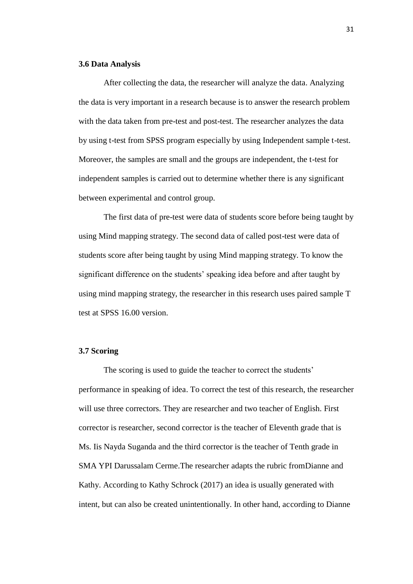### **3.6 Data Analysis**

After collecting the data, the researcher will analyze the data. Analyzing the data is very important in a research because is to answer the research problem with the data taken from pre-test and post-test. The researcher analyzes the data by using t-test from SPSS program especially by using Independent sample t-test. Moreover, the samples are small and the groups are independent, the t-test for independent samples is carried out to determine whether there is any significant between experimental and control group.

The first data of pre-test were data of students score before being taught by using Mind mapping strategy. The second data of called post-test were data of students score after being taught by using Mind mapping strategy. To know the significant difference on the students' speaking idea before and after taught by using mind mapping strategy, the researcher in this research uses paired sample T test at SPSS 16.00 version.

## **3.7 Scoring**

The scoring is used to guide the teacher to correct the students' performance in speaking of idea. To correct the test of this research, the researcher will use three correctors. They are researcher and two teacher of English. First corrector is researcher, second corrector is the teacher of Eleventh grade that is Ms. Iis Nayda Suganda and the third corrector is the teacher of Tenth grade in SMA YPI Darussalam Cerme.The researcher adapts the rubric fromDianne and Kathy. According to Kathy Schrock (2017) an idea is usually generated with intent, but can also be created unintentionally. In other hand, according to Dianne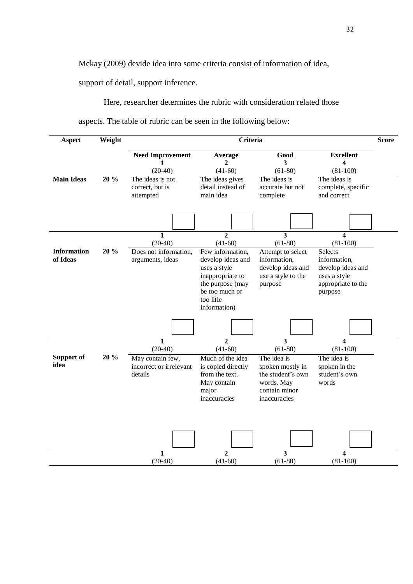Mckay (2009) devide idea into some criteria consist of information of idea,

support of detail, support inference.

Here, researcher determines the rubric with consideration related those

aspects. The table of rubric can be seen in the following below:

| Aspect                         | Weight |                                                                                     | <b>Criteria</b>                                                                                                                                                             |                                                                                                                                    |                                                                                                                               | <b>Score</b> |
|--------------------------------|--------|-------------------------------------------------------------------------------------|-----------------------------------------------------------------------------------------------------------------------------------------------------------------------------|------------------------------------------------------------------------------------------------------------------------------------|-------------------------------------------------------------------------------------------------------------------------------|--------------|
|                                |        | <b>Need Improvement</b><br>1                                                        | Average<br>$\overline{c}$                                                                                                                                                   | Good<br>$\overline{\mathbf{3}}$                                                                                                    | <b>Excellent</b><br>$\overline{\mathbf{4}}$                                                                                   |              |
| <b>Main Ideas</b>              | 20 %   | $(20-40)$<br>The ideas is not<br>correct, but is<br>attempted                       | $(41-60)$<br>The ideas gives<br>detail instead of<br>main idea                                                                                                              | $(61-80)$<br>The ideas is<br>accurate but not<br>complete                                                                          | $(81-100)$<br>The ideas is<br>complete, specific<br>and correct                                                               |              |
|                                |        |                                                                                     |                                                                                                                                                                             |                                                                                                                                    |                                                                                                                               |              |
| <b>Information</b><br>of Ideas | 20 %   | $\overline{\mathbf{1}}$<br>$(20-40)$<br>Does not information,<br>arguments, ideas   | $\overline{2}$<br>$(41-60)$<br>Few information,<br>develop ideas and<br>uses a style<br>inappropriate to<br>the purpose (may<br>be too much or<br>too litle<br>information) | $\overline{\mathbf{3}}$<br>$(61-80)$<br>Attempt to select<br>information,<br>develop ideas and<br>use a style to the<br>purpose    | $\overline{4}$<br>$(81-100)$<br>Selects<br>information,<br>develop ideas and<br>uses a style<br>appropriate to the<br>purpose |              |
|                                |        |                                                                                     |                                                                                                                                                                             |                                                                                                                                    |                                                                                                                               |              |
| Support of<br>idea             | 20 %   | $\mathbf{1}$<br>$(20-40)$<br>May contain few,<br>incorrect or irrelevant<br>details | $\overline{2}$<br>$(41-60)$<br>Much of the idea<br>is copied directly<br>from the text.<br>May contain<br>major<br>inaccuracies                                             | $\overline{3}$<br>$(61-80)$<br>The idea is<br>spoken mostly in<br>the student's own<br>words. May<br>contain minor<br>inaccuracies | $\overline{\mathbf{4}}$<br>$(81-100)$<br>The idea is<br>spoken in the<br>student's own<br>words                               |              |
|                                |        | $\mathbf{1}$<br>$(20-40)$                                                           | $\overline{2}$<br>$(41-60)$                                                                                                                                                 | $\overline{\mathbf{3}}$<br>$(61-80)$                                                                                               | $\overline{4}$<br>$(81-100)$                                                                                                  |              |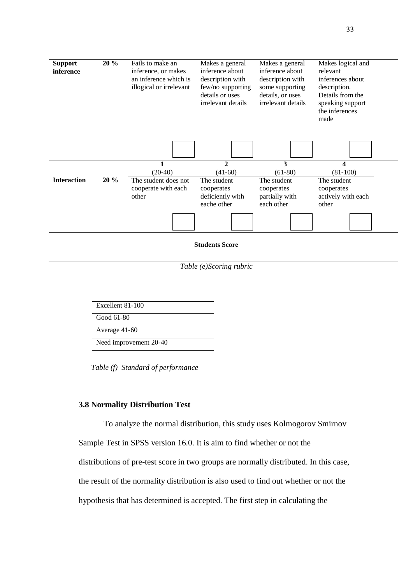

*Table (e)Scoring rubric*

| Excellent 81-100       |
|------------------------|
| Good 61-80             |
| Average 41-60          |
| Need improvement 20-40 |

*Table (f) Standard of performance*

### **3.8 Normality Distribution Test**

To analyze the normal distribution, this study uses Kolmogorov Smirnov

Sample Test in SPSS version 16.0. It is aim to find whether or not the

distributions of pre-test score in two groups are normally distributed. In this case,

the result of the normality distribution is also used to find out whether or not the

hypothesis that has determined is accepted. The first step in calculating the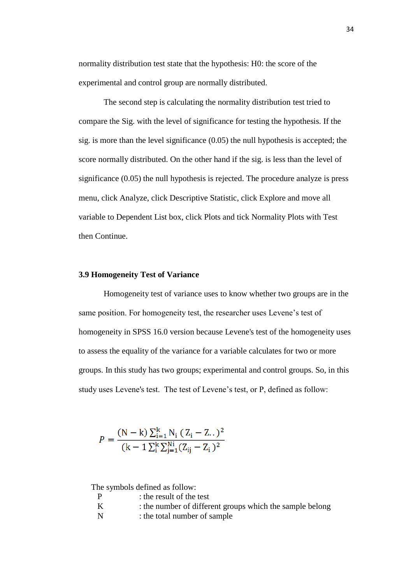normality distribution test state that the hypothesis: H0: the score of the experimental and control group are normally distributed.

The second step is calculating the normality distribution test tried to compare the Sig. with the level of significance for testing the hypothesis. If the sig. is more than the level significance (0.05) the null hypothesis is accepted; the score normally distributed. On the other hand if the sig. is less than the level of significance (0.05) the null hypothesis is rejected. The procedure analyze is press menu, click Analyze, click Descriptive Statistic, click Explore and move all variable to Dependent List box, click Plots and tick Normality Plots with Test then Continue.

#### **3.9 Homogeneity Test of Variance**

Homogeneity test of variance uses to know whether two groups are in the same position. For homogeneity test, the researcher uses Levene's test of homogeneity in SPSS 16.0 version because Levene's test of the homogeneity uses to assess the equality of the variance for a variable calculates for two or more groups. In this study has two groups; experimental and control groups. So, in this study uses Levene's test. The test of Levene's test, or P, defined as follow:

$$
P = \frac{(N-k)\sum_{i=1}^{k} N_i (Z_i - Z_{\cdot \cdot})^2}{(k-1)\sum_{i=1}^{k} \sum_{j=1}^{N_i} (Z_{ij} - Z_i)^2}
$$

The symbols defined as follow:

| P   | : the result of the test                                 |
|-----|----------------------------------------------------------|
| - K | : the number of different groups which the sample belong |
| N   | : the total number of sample                             |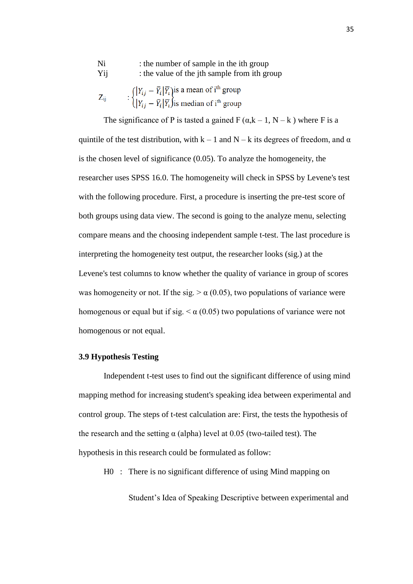| Ni       | : the number of sample in the ith group                                                                                                                                                                                                        |
|----------|------------------------------------------------------------------------------------------------------------------------------------------------------------------------------------------------------------------------------------------------|
| Yij      | : the value of the jth sample from ith group                                                                                                                                                                                                   |
| $Z_{ii}$ | : $\left\{ \begin{aligned} &  Y_{ij} - \overline{Y}_i  \overline{Y}_i \text{ is a mean of } i^{\text{th}} \text{ group} \\ &  Y_{ij} - \overline{Y}_i  \overline{Y}_i \text{ is median of } i^{\text{th}} \text{ group} \end{aligned} \right.$ |

The significance of P is tasted a gained  $F(\alpha, k-1, N-k)$  where F is a quintile of the test distribution, with  $k - 1$  and  $N - k$  its degrees of freedom, and  $\alpha$ is the chosen level of significance (0.05). To analyze the homogeneity, the researcher uses SPSS 16.0. The homogeneity will check in SPSS by Levene's test with the following procedure. First, a procedure is inserting the pre-test score of both groups using data view. The second is going to the analyze menu, selecting compare means and the choosing independent sample t-test. The last procedure is interpreting the homogeneity test output, the researcher looks (sig.) at the Levene's test columns to know whether the quality of variance in group of scores was homogeneity or not. If the sig.  $> \alpha$  (0.05), two populations of variance were homogenous or equal but if sig.  $\leq \alpha$  (0.05) two populations of variance were not homogenous or not equal.

#### **3.9 Hypothesis Testing**

Independent t-test uses to find out the significant difference of using mind mapping method for increasing student's speaking idea between experimental and control group. The steps of t-test calculation are: First, the tests the hypothesis of the research and the setting  $\alpha$  (alpha) level at 0.05 (two-tailed test). The hypothesis in this research could be formulated as follow:

H0 : There is no significant difference of using Mind mapping on

Student's Idea of Speaking Descriptive between experimental and